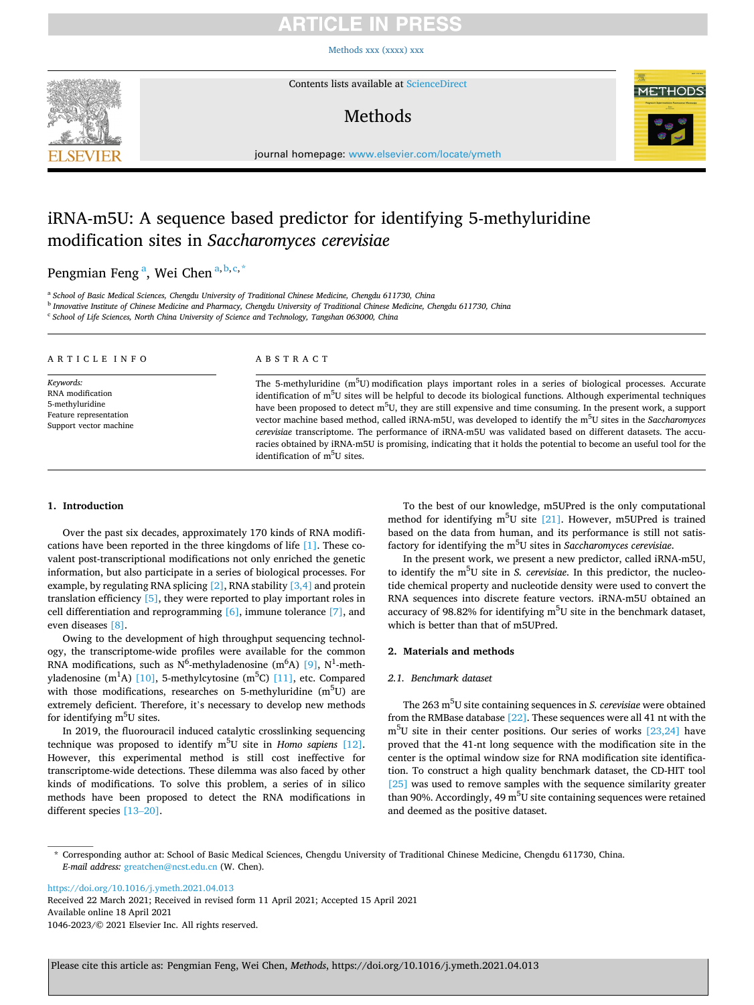# TICI E IN

[Methods xxx \(xxxx\) xxx](https://doi.org/10.1016/j.ymeth.2021.04.013)



Contents lists available at [ScienceDirect](www.sciencedirect.com/science/journal/10462023)

# Methods



journal homepage: [www.elsevier.com/locate/ymeth](https://www.elsevier.com/locate/ymeth)

# iRNA-m5U: A sequence based predictor for identifying 5-methyluridine modification sites in *Saccharomyces cerevisiae*

## Pengmian Feng<sup>a</sup>, Wei Chen<sup>a, b, c, \*</sup>

<sup>a</sup> *School of Basic Medical Sciences, Chengdu University of Traditional Chinese Medicine, Chengdu 611730, China* 

<sup>b</sup> *Innovative Institute of Chinese Medicine and Pharmacy, Chengdu University of Traditional Chinese Medicine, Chengdu 611730, China* 

<sup>c</sup> *School of Life Sciences, North China University of Science and Technology, Tangshan 063000, China* 

| ARTICLE INFO                                                                                         | ABSTRACT                                                                                                                                                                                                                                                                                                                                                                                                                                                                                                                                                                                                                                                                                                                                                                                |  |  |
|------------------------------------------------------------------------------------------------------|-----------------------------------------------------------------------------------------------------------------------------------------------------------------------------------------------------------------------------------------------------------------------------------------------------------------------------------------------------------------------------------------------------------------------------------------------------------------------------------------------------------------------------------------------------------------------------------------------------------------------------------------------------------------------------------------------------------------------------------------------------------------------------------------|--|--|
| Keywords:<br>RNA modification<br>5-methyluridine<br>Feature representation<br>Support vector machine | The 5-methyluridine $(m^5U)$ modification plays important roles in a series of biological processes. Accurate<br>identification of m <sup>5</sup> U sites will be helpful to decode its biological functions. Although experimental techniques<br>have been proposed to detect m <sup>5</sup> U, they are still expensive and time consuming. In the present work, a support<br>vector machine based method, called iRNA-m5U, was developed to identify the m <sup>5</sup> U sites in the Saccharomyces<br>cerevisiae transcriptome. The performance of iRNA-m5U was validated based on different datasets. The accu-<br>racies obtained by iRNA-m5U is promising, indicating that it holds the potential to become an useful tool for the<br>identification of m <sup>5</sup> U sites. |  |  |

## **1. Introduction**

Over the past six decades, approximately 170 kinds of RNA modifications have been reported in the three kingdoms of life [\[1\].](#page-2-0) These covalent post-transcriptional modifications not only enriched the genetic information, but also participate in a series of biological processes. For example, by regulating RNA splicing [\[2\],](#page-2-0) RNA stability [\[3,4\]](#page-3-0) and protein translation efficiency [\[5\]](#page-3-0), they were reported to play important roles in cell differentiation and reprogramming [\[6\]](#page-3-0), immune tolerance [\[7\]](#page-3-0), and even diseases [\[8\]](#page-3-0).

Owing to the development of high throughput sequencing technology, the transcriptome-wide profiles were available for the common RNA modifications, such as N<sup>6</sup>-methyladenosine  $(m<sup>6</sup>A)$  [\[9\]](#page-3-0), N<sup>1</sup>-meth-yladenosine (m<sup>1</sup>A) [\[10\],](#page-3-0) 5-methylcytosine (m<sup>5</sup>C) [\[11\],](#page-3-0) etc. Compared with those modifications, researches on 5-methyluridine (m<sup>5</sup>U) are extremely deficient. Therefore, it's necessary to develop new methods for identifying m<sup>5</sup>U sites.

In 2019, the fluorouracil induced catalytic crosslinking sequencing technique was proposed to identify m<sup>5</sup>U site in *Homo sapiens* [\[12\]](#page-3-0). However, this experimental method is still cost ineffective for transcriptome-wide detections. These dilemma was also faced by other kinds of modifications. To solve this problem, a series of in silico methods have been proposed to detect the RNA modifications in different species [\[13](#page-3-0)–20].

To the best of our knowledge, m5UPred is the only computational method for identifying  $m^5U$  site [\[21\]](#page-3-0). However, m5UPred is trained based on the data from human, and its performance is still not satisfactory for identifying the m<sup>5</sup>U sites in *Saccharomyces cerevisiae*.

In the present work, we present a new predictor, called iRNA-m5U, to identify the m<sup>5</sup>U site in *S. cerevisiae*. In this predictor, the nucleotide chemical property and nucleotide density were used to convert the RNA sequences into discrete feature vectors. iRNA-m5U obtained an accuracy of 98.82% for identifying  $m<sup>5</sup>U$  site in the benchmark dataset, which is better than that of m5UPred.

## **2. Materials and methods**

## *2.1. Benchmark dataset*

The 263 m<sup>5</sup>U site containing sequences in *S. cerevisiae* were obtained from the RMBase database [\[22\]](#page-3-0). These sequences were all 41 nt with the  $m<sup>5</sup>U$  site in their center positions. Our series of works [\[23,24\]](#page-3-0) have proved that the 41-nt long sequence with the modification site in the center is the optimal window size for RNA modification site identification. To construct a high quality benchmark dataset, the CD-HIT tool [\[25\]](#page-3-0) was used to remove samples with the sequence similarity greater than 90%. Accordingly, 49 m<sup>5</sup>U site containing sequences were retained and deemed as the positive dataset.

<https://doi.org/10.1016/j.ymeth.2021.04.013>

Available online 18 April 2021 1046-2023/© 2021 Elsevier Inc. All rights reserved. Received 22 March 2021; Received in revised form 11 April 2021; Accepted 15 April 2021

<sup>\*</sup> Corresponding author at: School of Basic Medical Sciences, Chengdu University of Traditional Chinese Medicine, Chengdu 611730, China. *E-mail address:* [greatchen@ncst.edu.cn](mailto:greatchen@ncst.edu.cn) (W. Chen).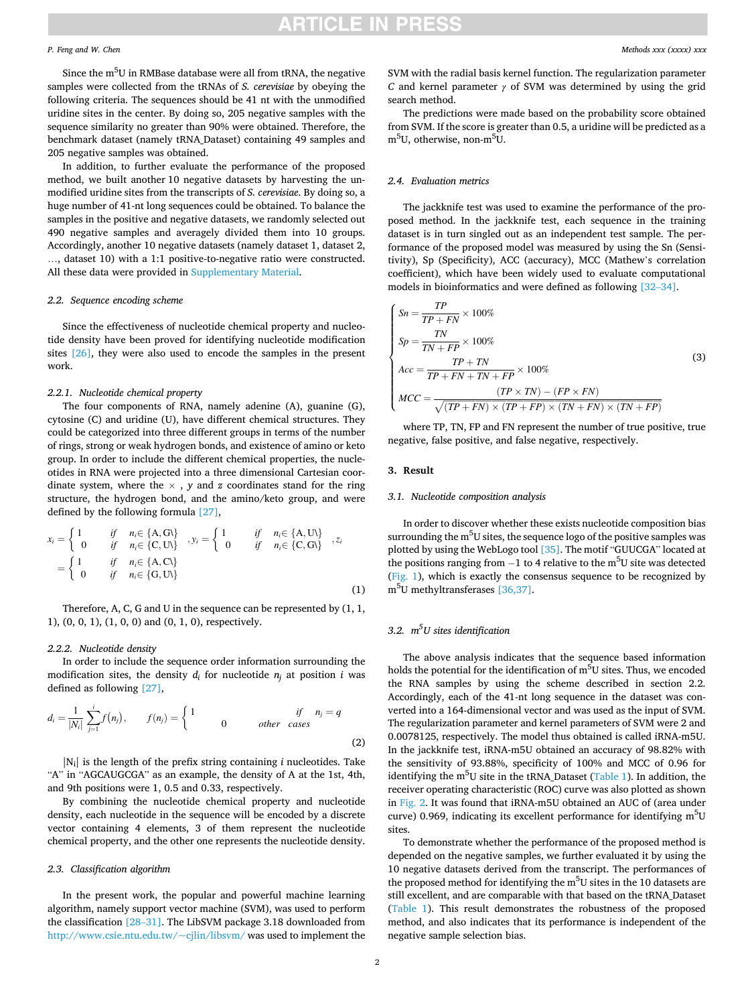## **ARTICLE IN PRES**

#### *P. Feng and W. Chen*

Since the  $\mathrm{m}^{5}\mathrm{U}$  in RMBase database were all from tRNA, the negative samples were collected from the tRNAs of *S. cerevisiae* by obeying the following criteria. The sequences should be 41 nt with the unmodified uridine sites in the center. By doing so, 205 negative samples with the sequence similarity no greater than 90% were obtained. Therefore, the benchmark dataset (namely tRNA\_Dataset) containing 49 samples and 205 negative samples was obtained.

In addition, to further evaluate the performance of the proposed method, we built another 10 negative datasets by harvesting the unmodified uridine sites from the transcripts of *S. cerevisiae*. By doing so, a huge number of 41-nt long sequences could be obtained. To balance the samples in the positive and negative datasets, we randomly selected out 490 negative samples and averagely divided them into 10 groups. Accordingly, another 10 negative datasets (namely dataset 1, dataset 2, …, dataset 10) with a 1:1 positive-to-negative ratio were constructed. All these data were provided in Supplementary Material.

#### *2.2. Sequence encoding scheme*

Since the effectiveness of nucleotide chemical property and nucleotide density have been proved for identifying nucleotide modification sites [\[26\]](#page-3-0), they were also used to encode the samples in the present work.

#### *2.2.1. Nucleotide chemical property*

The four components of RNA, namely adenine (A), guanine (G), cytosine (C) and uridine (U), have different chemical structures. They could be categorized into three different groups in terms of the number of rings, strong or weak hydrogen bonds, and existence of amino or keto group. In order to include the different chemical properties, the nucleotides in RNA were projected into a three dimensional Cartesian coordinate system, where the  $\times$ , *y* and *z* coordinates stand for the ring structure, the hydrogen bond, and the amino/keto group, and were defined by the following formula [\[27\],](#page-3-0)

$$
x_i = \begin{cases} 1 & \text{if } n_i \in \{A, G\} \\ 0 & \text{if } n_i \in \{C, U\} \end{cases}, y_i = \begin{cases} 1 & \text{if } n_i \in \{A, U\} \\ 0 & \text{if } n_i \in \{C, G\} \end{cases}, z_i
$$

$$
= \begin{cases} 1 & \text{if } n_i \in \{A, C\} \\ 0 & \text{if } n_i \in \{G, U\} \end{cases}
$$
(1)

Therefore, A, C, G and U in the sequence can be represented by (1, 1, 1), (0, 0, 1), (1, 0, 0) and (0, 1, 0), respectively.

#### *2.2.2. Nucleotide density*

In order to include the sequence order information surrounding the modification sites, the density  $d_i$  for nucleotide  $n_i$  at position *i* was defined as following [\[27\]](#page-3-0),

$$
d_i = \frac{1}{|N_i|} \sum_{j=1}^i f(n_j), \qquad f(n_j) = \begin{cases} 1 & \text{if } n_j = q \\ 0 & \text{other cases} \end{cases} \tag{2}
$$

|Ni| is the length of the prefix string containing *i* nucleotides. Take "A" in "AGCAUGCGA" as an example, the density of A at the 1st, 4th, and 9th positions were 1, 0.5 and 0.33, respectively.

By combining the nucleotide chemical property and nucleotide density, each nucleotide in the sequence will be encoded by a discrete vector containing 4 elements, 3 of them represent the nucleotide chemical property, and the other one represents the nucleotide density.

#### *2.3. Classification algorithm*

In the present work, the popular and powerful machine learning algorithm, namely support vector machine (SVM), was used to perform the classification [28–[31\].](#page-3-0) The LibSVM package 3.18 downloaded from [http://www.csie.ntu.edu.tw/~cjlin/libsvm/](http://www.csie.ntu.edu.tw/%7ecjlin/libsvm/) was used to implement the

SVM with the radial basis kernel function. The regularization parameter *C* and kernel parameter *γ* of SVM was determined by using the grid search method.

The predictions were made based on the probability score obtained from SVM. If the score is greater than 0.5, a uridine will be predicted as a m<sup>5</sup>U, otherwise, non-m<sup>5</sup>U.

### *2.4. Evaluation metrics*

The jackknife test was used to examine the performance of the proposed method. In the jackknife test, each sequence in the training dataset is in turn singled out as an independent test sample. The performance of the proposed model was measured by using the Sn (Sensitivity), Sp (Specificity), ACC (accuracy), MCC (Mathew's correlation coefficient), which have been widely used to evaluate computational models in bioinformatics and were defined as following [32–[34\].](#page-3-0)

$$
\begin{cases}\nSn = \frac{TP}{TP + FN} \times 100\% \\
Sp = \frac{TN}{TN + FP} \times 100\% \\
Acc = \frac{TP + TN}{TP + FN + TN + FP} \times 100\% \\
MCC = \frac{(TP \times TN) - (FP \times FN)}{\sqrt{(TP + FN) \times (TP + FP) \times (TN + FN) \times (TN + FP)}}\n\end{cases}
$$
\n(3)

where TP, TN, FP and FN represent the number of true positive, true negative, false positive, and false negative, respectively.

## **3. Result**

## *3.1. Nucleotide composition analysis*

In order to discover whether these exists nucleotide composition bias surrounding the m<sup>5</sup>U sites, the sequence logo of the positive samples was plotted by using the WebLogo tool [\[35\].](#page-3-0) The motif "GUUCGA" located at the positions ranging from  $-1$  to 4 relative to the m<sup>5</sup>U site was detected ([Fig. 1](#page-2-0)), which is exactly the consensus sequence to be recognized by m<sup>5</sup> U methyltransferases [\[36,37\]](#page-3-0).

## *3.2. m5 U sites identification*

The above analysis indicates that the sequence based information holds the potential for the identification of m<sup>5</sup>U sites. Thus, we encoded the RNA samples by using the scheme described in section 2.2. Accordingly, each of the 41-nt long sequence in the dataset was converted into a 164-dimensional vector and was used as the input of SVM. The regularization parameter and kernel parameters of SVM were 2 and 0.0078125, respectively. The model thus obtained is called iRNA-m5U. In the jackknife test, iRNA-m5U obtained an accuracy of 98.82% with the sensitivity of 93.88%, specificity of 100% and MCC of 0.96 for identifying the m<sup>5</sup>U site in the tRNA\_Dataset [\(Table 1\)](#page-2-0). In addition, the receiver operating characteristic (ROC) curve was also plotted as shown in [Fig. 2](#page-2-0). It was found that iRNA-m5U obtained an AUC of (area under curve) 0.969, indicating its excellent performance for identifying  $m<sup>5</sup>U$ sites.

To demonstrate whether the performance of the proposed method is depended on the negative samples, we further evaluated it by using the 10 negative datasets derived from the transcript. The performances of the proposed method for identifying the  $m<sup>5</sup>U$  sites in the 10 datasets are still excellent, and are comparable with that based on the tRNA\_Dataset ([Table 1\)](#page-2-0). This result demonstrates the robustness of the proposed method, and also indicates that its performance is independent of the negative sample selection bias.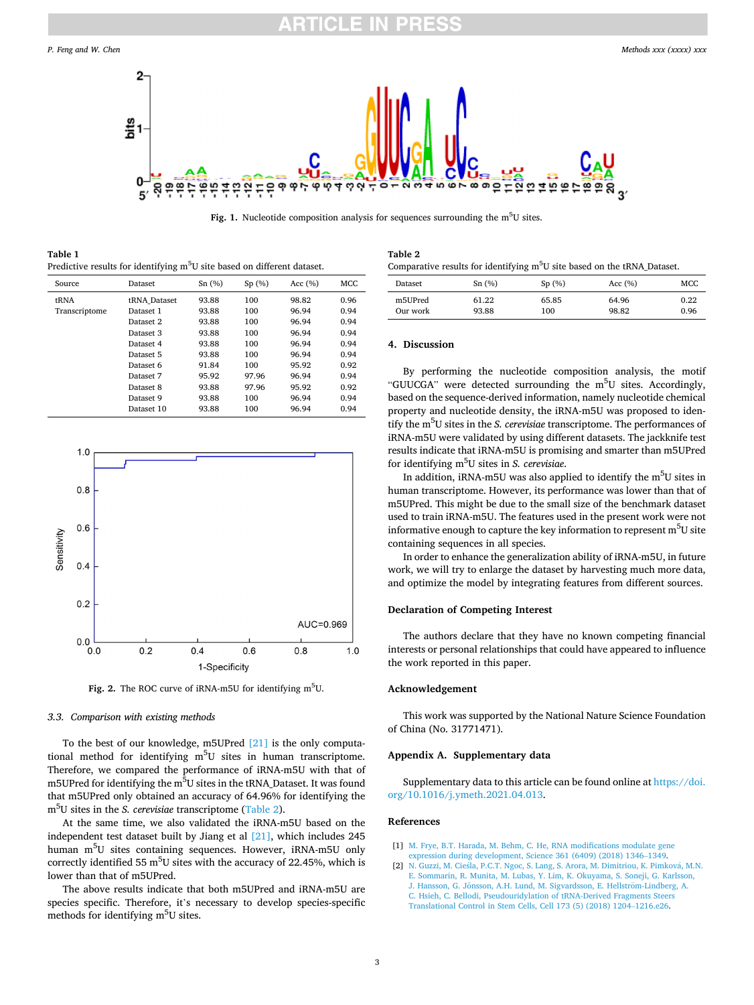<span id="page-2-0"></span>

Fig. 1. Nucleotide composition analysis for sequences surrounding the m<sup>5</sup>U sites.

**Table 1**  Predictive results for identifying m<sup>5</sup>U site based on different dataset.

| Source        | Dataset      | Sn(%) | Sp(%) | Acc $(%$ | <b>MCC</b> |
|---------------|--------------|-------|-------|----------|------------|
| tRNA          | tRNA Dataset | 93.88 | 100   | 98.82    | 0.96       |
| Transcriptome | Dataset 1    | 93.88 | 100   | 96.94    | 0.94       |
|               | Dataset 2    | 93.88 | 100   | 96.94    | 0.94       |
|               | Dataset 3    | 93.88 | 100   | 96.94    | 0.94       |
|               | Dataset 4    | 93.88 | 100   | 96.94    | 0.94       |
|               | Dataset 5    | 93.88 | 100   | 96.94    | 0.94       |
|               | Dataset 6    | 91.84 | 100   | 95.92    | 0.92       |
|               | Dataset 7    | 95.92 | 97.96 | 96.94    | 0.94       |
|               | Dataset 8    | 93.88 | 97.96 | 95.92    | 0.92       |
|               | Dataset 9    | 93.88 | 100   | 96.94    | 0.94       |
|               | Dataset 10   | 93.88 | 100   | 96.94    | 0.94       |



Fig. 2. The ROC curve of iRNA-m5U for identifying m<sup>5</sup>U.

#### *3.3. Comparison with existing methods*

To the best of our knowledge, m5UPred [\[21\]](#page-3-0) is the only computational method for identifying m<sup>5</sup>U sites in human transcriptome. Therefore, we compared the performance of iRNA-m5U with that of m5UPred for identifying the m<sup>5</sup>U sites in the tRNA\_Dataset. It was found that m5UPred only obtained an accuracy of 64.96% for identifying the m<sup>5</sup> U sites in the *S. cerevisiae* transcriptome (Table 2).

At the same time, we also validated the iRNA-m5U based on the independent test dataset built by Jiang et al [\[21\]](#page-3-0), which includes 245 human m<sup>5</sup>U sites containing sequences. However, iRNA-m5U only correctly identified 55  $\mathrm{m}^{5}$ U sites with the accuracy of 22.45%, which is lower than that of m5UPred.

The above results indicate that both m5UPred and iRNA-m5U are species specific. Therefore, it's necessary to develop species-specific methods for identifying m<sup>5</sup>U sites.

| Table 2                                                                              |
|--------------------------------------------------------------------------------------|
| Comparative results for identifying m <sup>5</sup> U site based on the tRNA_Dataset. |

| Dataset  | Sn(%) | Sp(%) | Acc $(% )$ | MCC  |
|----------|-------|-------|------------|------|
| m5UPred  | 61.22 | 65.85 | 64.96      | 0.22 |
| Our work | 93.88 | 100   | 98.82      | 0.96 |

#### **4. Discussion**

By performing the nucleotide composition analysis, the motif "GUUCGA" were detected surrounding the m<sup>5</sup>U sites. Accordingly, based on the sequence-derived information, namely nucleotide chemical property and nucleotide density, the iRNA-m5U was proposed to identify the m5 U sites in the *S. cerevisiae* transcriptome. The performances of iRNA-m5U were validated by using different datasets. The jackknife test results indicate that iRNA-m5U is promising and smarter than m5UPred for identifying m<sup>5</sup> U sites in *S. cerevisiae*.

In addition, iRNA-m5U was also applied to identify the  $m<sup>5</sup>U$  sites in human transcriptome. However, its performance was lower than that of m5UPred. This might be due to the small size of the benchmark dataset used to train iRNA-m5U. The features used in the present work were not informative enough to capture the key information to represent  $m<sup>5</sup>U$  site containing sequences in all species.

In order to enhance the generalization ability of iRNA-m5U, in future work, we will try to enlarge the dataset by harvesting much more data, and optimize the model by integrating features from different sources.

## **Declaration of Competing Interest**

The authors declare that they have no known competing financial interests or personal relationships that could have appeared to influence the work reported in this paper.

## **Acknowledgement**

This work was supported by the National Nature Science Foundation of China (No. 31771471).

#### **Appendix A. Supplementary data**

Supplementary data to this article can be found online at [https://doi.](https://doi.org/10.1016/j.ymeth.2021.04.013)  [org/10.1016/j.ymeth.2021.04.013](https://doi.org/10.1016/j.ymeth.2021.04.013).

#### **References**

- [1] [M. Frye, B.T. Harada, M. Behm, C. He, RNA modifications modulate gene](http://refhub.elsevier.com/S1046-2023(21)00105-5/h0005) [expression during development, Science 361 \(6409\) \(2018\) 1346](http://refhub.elsevier.com/S1046-2023(21)00105-5/h0005)–1349.
- [2] N. Guzzi, M. Cieśla, P.C.T. Ngoc, S. Lang, S. Arora, M. Dimitriou, K. Pimková, M.N. [E. Sommarin, R. Munita, M. Lubas, Y. Lim, K. Okuyama, S. Soneji, G. Karlsson,](http://refhub.elsevier.com/S1046-2023(21)00105-5/h0010) J. Hansson, G. Jönsson, A.H. Lund, M. Sigvardsson, E. Hellström-Lindberg, A. [C. Hsieh, C. Bellodi, Pseudouridylation of tRNA-Derived Fragments Steers](http://refhub.elsevier.com/S1046-2023(21)00105-5/h0010) [Translational Control in Stem Cells, Cell 173 \(5\) \(2018\) 1204](http://refhub.elsevier.com/S1046-2023(21)00105-5/h0010)–1216.e26.